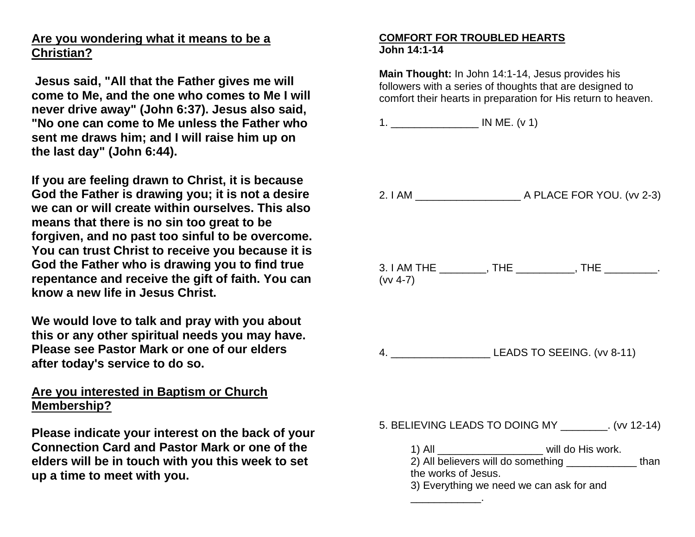## **Are you wondering what it means to be a Christian?**

**Jesus said, "All that the Father gives me will come to Me, and the one who comes to Me I will never drive away" (John 6:37). Jesus also said, "No one can come to Me unless the Father who sent me draws him; and I will raise him up on the last day" (John 6:44).**

**If you are feeling drawn to Christ, it is because God the Father is drawing you; it is not a desire we can or will create within ourselves. This also means that there is no sin too great to be forgiven, and no past too sinful to be overcome. You can trust Christ to receive you because it is God the Father who is drawing you to find true repentance and receive the gift of faith. You can know a new life in Jesus Christ.**

**We would love to talk and pray with you about this or any other spiritual needs you may have. Please see Pastor Mark or one of our elders after today's service to do so.**

## **Are you interested in Baptism or Church Membership?**

**Please indicate your interest on the back of your Connection Card and Pastor Mark or one of the elders will be in touch with you this week to set up a time to meet with you.**

## **COMFORT FOR TROUBLED HEARTS John 14:1-14**

**Main Thought:** In John 14:1-14, Jesus provides his followers with a series of thoughts that are designed to comfort their hearts in preparation for His return to heaven.

1. \_\_\_\_\_\_\_\_\_\_\_\_\_\_\_ IN ME. (v 1)

2. I AM \_\_\_\_\_\_\_\_\_\_\_\_\_\_\_\_\_\_ A PLACE FOR YOU. (vv 2-3) 3. I AM THE \_\_\_\_\_\_\_\_, THE \_\_\_\_\_\_\_\_\_, THE \_\_\_\_\_\_\_\_\_. (vv 4-7) 4. \_\_\_\_\_\_\_\_\_\_\_\_\_\_\_\_\_ LEADS TO SEEING. (vv 8-11)

5. BELIEVING LEADS TO DOING MY \_\_\_\_\_\_\_\_. (vv 12-14)

| 1) All                             | will do His work. |      |
|------------------------------------|-------------------|------|
| 2) All believers will do something |                   | than |
| the works of Jesus.                |                   |      |

3) Everything we need we can ask for and

 $\overline{\phantom{a}}$  . The set of the set of the set of the set of the set of the set of the set of the set of the set of the set of the set of the set of the set of the set of the set of the set of the set of the set of the set o